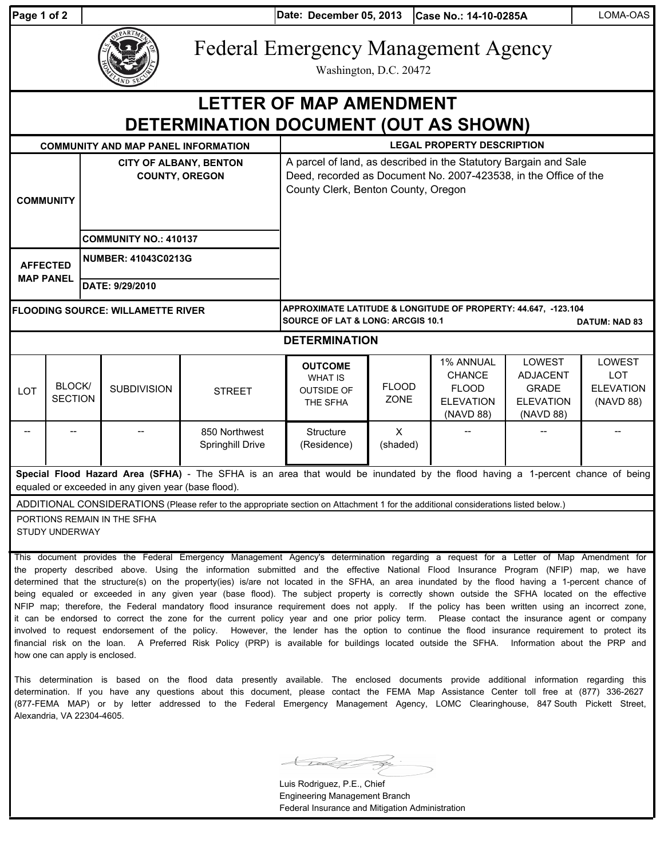| 'aɑe 1 of |  |  |
|-----------|--|--|
|           |  |  |

**Date: Case No.: 14-10-0285A** LOMA-OAS **Page 1 of 2 December 05, 2013**



Federal Emergency Management Agency

Washington, D.C. 20472

## **DETERMINATION DOCUMENT (OUT AS SHOWN) LETTER OF MAP AMENDMENT**

| <b>COMMUNITY AND MAP PANEL INFORMATION</b>                                                                                                                                            |                                 |                                                                                                                                                                             | <b>LEGAL PROPERTY DESCRIPTION</b> |                                   |                                                                                                                                        |                             |                                                                             |                                                                            |                                                       |  |  |  |
|---------------------------------------------------------------------------------------------------------------------------------------------------------------------------------------|---------------------------------|-----------------------------------------------------------------------------------------------------------------------------------------------------------------------------|-----------------------------------|-----------------------------------|----------------------------------------------------------------------------------------------------------------------------------------|-----------------------------|-----------------------------------------------------------------------------|----------------------------------------------------------------------------|-------------------------------------------------------|--|--|--|
| <b>CITY OF ALBANY, BENTON</b><br><b>COUNTY, OREGON</b><br><b>COMMUNITY</b><br><b>COMMUNITY NO.: 410137</b>                                                                            |                                 | A parcel of land, as described in the Statutory Bargain and Sale<br>Deed, recorded as Document No. 2007-423538, in the Office of the<br>County Clerk, Benton County, Oregon |                                   |                                   |                                                                                                                                        |                             |                                                                             |                                                                            |                                                       |  |  |  |
| <b>AFFECTED</b><br><b>MAP PANEL</b>                                                                                                                                                   |                                 |                                                                                                                                                                             | <b>NUMBER: 41043C0213G</b>        |                                   |                                                                                                                                        |                             |                                                                             |                                                                            |                                                       |  |  |  |
|                                                                                                                                                                                       |                                 |                                                                                                                                                                             | DATE: 9/29/2010                   |                                   |                                                                                                                                        |                             |                                                                             |                                                                            |                                                       |  |  |  |
| <b>FLOODING SOURCE: WILLAMETTE RIVER</b>                                                                                                                                              |                                 |                                                                                                                                                                             |                                   |                                   | APPROXIMATE LATITUDE & LONGITUDE OF PROPERTY: 44.647, -123.104<br><b>SOURCE OF LAT &amp; LONG: ARCGIS 10.1</b><br><b>DATUM: NAD 83</b> |                             |                                                                             |                                                                            |                                                       |  |  |  |
| <b>DETERMINATION</b>                                                                                                                                                                  |                                 |                                                                                                                                                                             |                                   |                                   |                                                                                                                                        |                             |                                                                             |                                                                            |                                                       |  |  |  |
| <b>LOT</b>                                                                                                                                                                            | <b>BLOCK/</b><br><b>SECTION</b> |                                                                                                                                                                             | <b>SUBDIVISION</b>                | <b>STREET</b>                     | <b>OUTCOME</b><br><b>WHAT IS</b><br><b>OUTSIDE OF</b><br>THE SFHA                                                                      | <b>FLOOD</b><br><b>ZONE</b> | 1% ANNUAL<br><b>CHANCE</b><br><b>FLOOD</b><br><b>ELEVATION</b><br>(NAVD 88) | LOWEST<br><b>ADJACENT</b><br><b>GRADE</b><br><b>ELEVATION</b><br>(NAVD 88) | LOWEST<br><b>LOT</b><br><b>ELEVATION</b><br>(NAVD 88) |  |  |  |
|                                                                                                                                                                                       |                                 |                                                                                                                                                                             |                                   | 850 Northwest<br>Springhill Drive | Structure<br>(Residence)                                                                                                               | $\mathsf{x}$<br>(shaded)    |                                                                             |                                                                            |                                                       |  |  |  |
| Special Flood Hazard Area (SFHA) - The SFHA is an area that would be inundated by the flood having a 1-percent chance of being<br>equaled or exceeded in any given year (base flood). |                                 |                                                                                                                                                                             |                                   |                                   |                                                                                                                                        |                             |                                                                             |                                                                            |                                                       |  |  |  |
| ADDITIONAL CONSIDERATIONS (Please refer to the appropriate section on Attachment 1 for the additional considerations listed below.)                                                   |                                 |                                                                                                                                                                             |                                   |                                   |                                                                                                                                        |                             |                                                                             |                                                                            |                                                       |  |  |  |
| PORTIONS REMAIN IN THE SFHA<br>STHOY HNDERWAY                                                                                                                                         |                                 |                                                                                                                                                                             |                                   |                                   |                                                                                                                                        |                             |                                                                             |                                                                            |                                                       |  |  |  |

STUDY UNDERWAY

This document provides the Federal Emergency Management Agency's determination regarding a request for a Letter of Map Amendment for the property described above. Using the information submitted and the effective National Flood Insurance Program (NFIP) map, we have determined that the structure(s) on the property(ies) is/are not located in the SFHA, an area inundated by the flood having a 1-percent chance of being equaled or exceeded in any given year (base flood). The subject property is correctly shown outside the SFHA located on the effective NFIP map; therefore, the Federal mandatory flood insurance requirement does not apply. If the policy has been written using an incorrect zone, it can be endorsed to correct the zone for the current policy year and one prior policy term. Please contact the insurance agent or company involved to request endorsement of the policy. However, the lender has the option to continue the flood insurance requirement to protect its financial risk on the loan. A Preferred Risk Policy (PRP) is available for buildings located outside the SFHA. Information about the PRP and how one can apply is enclosed.

This determination is based on the flood data presently available. The enclosed documents provide additional information regarding this determination. If you have any questions about this document, please contact the FEMA Map Assistance Center toll free at (877) 336-2627 (877-FEMA MAP) or by letter addressed to the Federal Emergency Management Agency, LOMC Clearinghouse, 847 South Pickett Street, Alexandria, VA 22304-4605.

Luis Rodriguez, P.E., Chief Engineering Management Branch Federal Insurance and Mitigation Administration